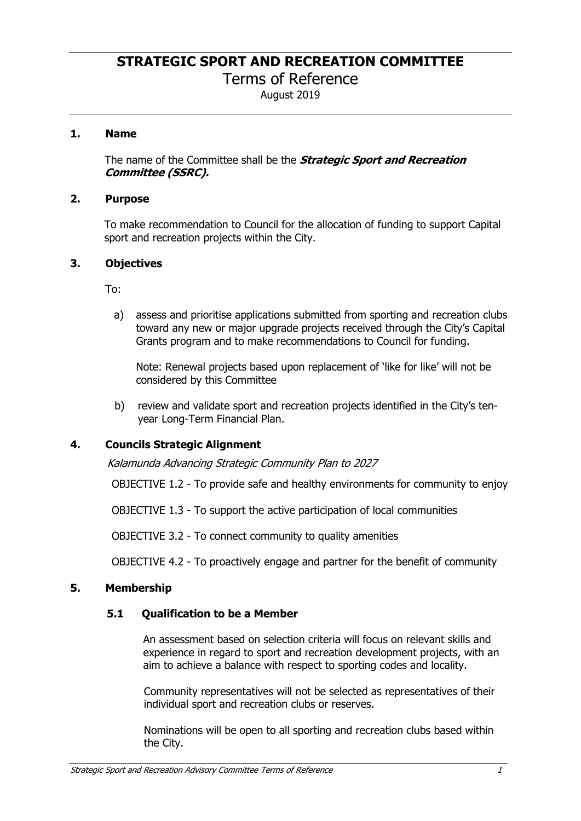**STRATEGIC SPORT AND RECREATION COMMITTEE** 

Terms of Reference

August 2019

### **1. Name**

The name of the Committee shall be the *Strategic Sport and Recreation Committee (SSRC).*

#### **2. Purpose**

To make recommendation to Council for the allocation of funding to support Capital sport and recreation projects within the City.

### **3. Objectives**

To:

a) assess and prioritise applications submitted from sporting and recreation clubs toward any new or major upgrade projects received through the City's Capital Grants program and to make recommendations to Council for funding.

Note: Renewal projects based upon replacement of 'like for like' will not be considered by this Committee

b) review and validate sport and recreation projects identified in the City's tenyear Long-Term Financial Plan.

## **4. Councils Strategic Alignment**

*Kalamunda Advancing Strategic Community Plan to 2027* 

OBJECTIVE 1.2 - To provide safe and healthy environments for community to enjoy

OBJECTIVE 1.3 - To support the active participation of local communities

OBJECTIVE 3.2 - To connect community to quality amenities

OBJECTIVE 4.2 - To proactively engage and partner for the benefit of community

## **5. Membership**

## **5.1 Qualification to be a Member**

An assessment based on selection criteria will focus on relevant skills and experience in regard to sport and recreation development projects, with an aim to achieve a balance with respect to sporting codes and locality.

Community representatives will not be selected as representatives of their individual sport and recreation clubs or reserves.

Nominations will be open to all sporting and recreation clubs based within the City.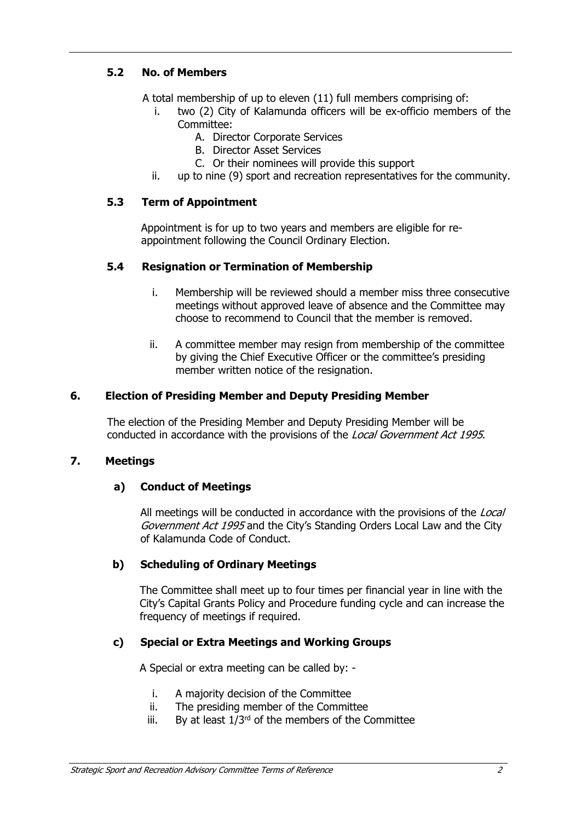# **5.2 No. of Members**

A total membership of up to eleven (11) full members comprising of:

- i. two (2) City of Kalamunda officers will be ex-officio members of the Committee:
	- A. Director Corporate Services
	- B. Director Asset Services
	- C. Or their nominees will provide this support
- ii. up to nine (9) sport and recreation representatives for the community.

## **5.3 Term of Appointment**

Appointment is for up to two years and members are eligible for reappointment following the Council Ordinary Election.

### **5.4 Resignation or Termination of Membership**

- i. Membership will be reviewed should a member miss three consecutive meetings without approved leave of absence and the Committee may choose to recommend to Council that the member is removed.
- ii. A committee member may resign from membership of the committee by giving the Chief Executive Officer or the committee's presiding member written notice of the resignation.

### **6. Election of Presiding Member and Deputy Presiding Member**

The election of the Presiding Member and Deputy Presiding Member will be conducted in accordance with the provisions of the *Local Government Act 1995*.

#### **7. Meetings**

## **a) Conduct of Meetings**

All meetings will be conducted in accordance with the provisions of the *Local Government Act 1995* and the City's Standing Orders Local Law and the City of Kalamunda Code of Conduct.

## **b) Scheduling of Ordinary Meetings**

The Committee shall meet up to four times per financial year in line with the City's Capital Grants Policy and Procedure funding cycle and can increase the frequency of meetings if required.

## **c) Special or Extra Meetings and Working Groups**

A Special or extra meeting can be called by: -

- i. A majority decision of the Committee
- ii. The presiding member of the Committee
- iii. By at least  $1/3^{rd}$  of the members of the Committee